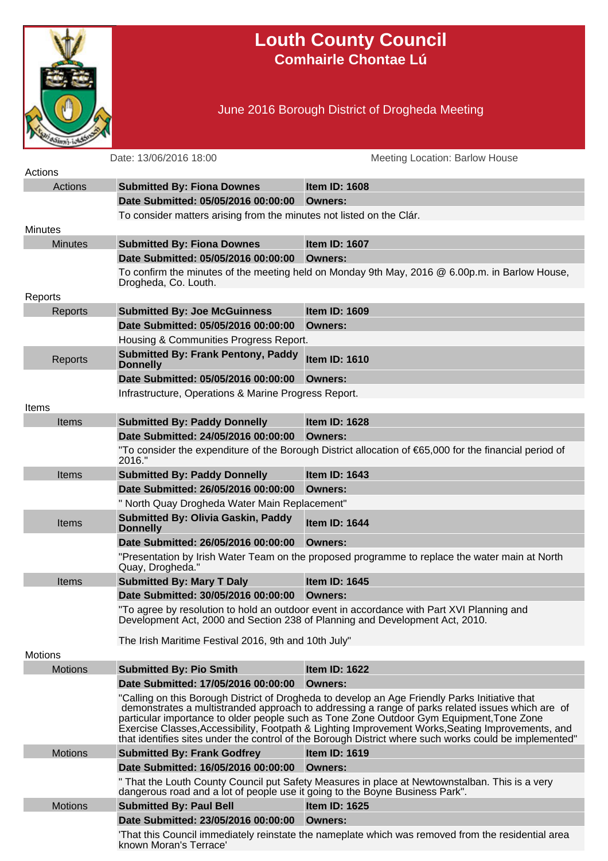

## **Louth County Council Comhairle Chontae Lú**

## June 2016 Borough District of Drogheda Meeting

|                | Date: 13/06/2016 18:00                                                       | <b>Meeting Location: Barlow House</b>                                                                                                                                                                                                                                                                                                                                                                                                                                                                         |
|----------------|------------------------------------------------------------------------------|---------------------------------------------------------------------------------------------------------------------------------------------------------------------------------------------------------------------------------------------------------------------------------------------------------------------------------------------------------------------------------------------------------------------------------------------------------------------------------------------------------------|
| Actions        |                                                                              |                                                                                                                                                                                                                                                                                                                                                                                                                                                                                                               |
| Actions        | <b>Submitted By: Fiona Downes</b>                                            | <b>Item ID: 1608</b>                                                                                                                                                                                                                                                                                                                                                                                                                                                                                          |
|                | Date Submitted: 05/05/2016 00:00:00                                          | Owners:                                                                                                                                                                                                                                                                                                                                                                                                                                                                                                       |
|                | To consider matters arising from the minutes not listed on the Clár.         |                                                                                                                                                                                                                                                                                                                                                                                                                                                                                                               |
| <b>Minutes</b> |                                                                              |                                                                                                                                                                                                                                                                                                                                                                                                                                                                                                               |
| <b>Minutes</b> | <b>Submitted By: Fiona Downes</b>                                            | <b>Item ID: 1607</b>                                                                                                                                                                                                                                                                                                                                                                                                                                                                                          |
|                | Date Submitted: 05/05/2016 00:00:00 Owners:                                  |                                                                                                                                                                                                                                                                                                                                                                                                                                                                                                               |
|                | Drogheda, Co. Louth.                                                         | To confirm the minutes of the meeting held on Monday 9th May, 2016 @ 6.00p.m. in Barlow House,                                                                                                                                                                                                                                                                                                                                                                                                                |
| Reports        |                                                                              |                                                                                                                                                                                                                                                                                                                                                                                                                                                                                                               |
| Reports        | <b>Submitted By: Joe McGuinness</b>                                          | <b>Item ID: 1609</b>                                                                                                                                                                                                                                                                                                                                                                                                                                                                                          |
|                | Date Submitted: 05/05/2016 00:00:00                                          | Owners:                                                                                                                                                                                                                                                                                                                                                                                                                                                                                                       |
|                | Housing & Communities Progress Report.                                       |                                                                                                                                                                                                                                                                                                                                                                                                                                                                                                               |
| Reports        | <b>Submitted By: Frank Pentony, Paddy</b><br><b>Donnelly</b>                 | <b>Item ID: 1610</b>                                                                                                                                                                                                                                                                                                                                                                                                                                                                                          |
|                | Date Submitted: 05/05/2016 00:00:00                                          | Owners:                                                                                                                                                                                                                                                                                                                                                                                                                                                                                                       |
|                | Infrastructure, Operations & Marine Progress Report.                         |                                                                                                                                                                                                                                                                                                                                                                                                                                                                                                               |
| Items          |                                                                              |                                                                                                                                                                                                                                                                                                                                                                                                                                                                                                               |
| Items          | <b>Submitted By: Paddy Donnelly</b>                                          | <b>Item ID: 1628</b>                                                                                                                                                                                                                                                                                                                                                                                                                                                                                          |
|                | Date Submitted: 24/05/2016 00:00:00                                          | Owners:                                                                                                                                                                                                                                                                                                                                                                                                                                                                                                       |
|                |                                                                              | "To consider the expenditure of the Borough District allocation of €65,000 for the financial period of                                                                                                                                                                                                                                                                                                                                                                                                        |
|                | 2016."                                                                       |                                                                                                                                                                                                                                                                                                                                                                                                                                                                                                               |
| <b>Items</b>   | <b>Submitted By: Paddy Donnelly</b>                                          | Item ID: 1643                                                                                                                                                                                                                                                                                                                                                                                                                                                                                                 |
|                | Date Submitted: 26/05/2016 00:00:00                                          | Owners:                                                                                                                                                                                                                                                                                                                                                                                                                                                                                                       |
|                | " North Quay Drogheda Water Main Replacement"                                |                                                                                                                                                                                                                                                                                                                                                                                                                                                                                                               |
| <b>Items</b>   | <b>Submitted By: Olivia Gaskin, Paddy</b><br><b>Donnelly</b>                 | Item ID: 1644                                                                                                                                                                                                                                                                                                                                                                                                                                                                                                 |
|                | Date Submitted: 26/05/2016 00:00:00                                          | Owners:                                                                                                                                                                                                                                                                                                                                                                                                                                                                                                       |
|                | Quay, Drogheda."                                                             | "Presentation by Irish Water Team on the proposed programme to replace the water main at North                                                                                                                                                                                                                                                                                                                                                                                                                |
| <b>Items</b>   | <b>Submitted By: Mary T Daly</b>                                             | <b>Item ID: 1645</b>                                                                                                                                                                                                                                                                                                                                                                                                                                                                                          |
|                | Date Submitted: 30/05/2016 00:00:00 Owners:                                  |                                                                                                                                                                                                                                                                                                                                                                                                                                                                                                               |
|                | Development Act, 2000 and Section 238 of Planning and Development Act, 2010. | "To agree by resolution to hold an outdoor event in accordance with Part XVI Planning and                                                                                                                                                                                                                                                                                                                                                                                                                     |
|                | The Irish Maritime Festival 2016, 9th and 10th July"                         |                                                                                                                                                                                                                                                                                                                                                                                                                                                                                                               |
| <b>Motions</b> |                                                                              |                                                                                                                                                                                                                                                                                                                                                                                                                                                                                                               |
| <b>Motions</b> | <b>Submitted By: Pio Smith</b>                                               | Item ID: 1622                                                                                                                                                                                                                                                                                                                                                                                                                                                                                                 |
|                | Date Submitted: 17/05/2016 00:00:00                                          | Owners:                                                                                                                                                                                                                                                                                                                                                                                                                                                                                                       |
|                |                                                                              | "Calling on this Borough District of Drogheda to develop an Age Friendly Parks Initiative that<br>demonstrates a multistranded approach to addressing a range of parks related issues which are of<br>particular importance to older people such as Tone Zone Outdoor Gym Equipment, Tone Zone<br>Exercise Classes, Accessibility, Footpath & Lighting Improvement Works, Seating Improvements, and<br>that identifies sites under the control of the Borough District where such works could be implemented" |
| <b>Motions</b> | <b>Submitted By: Frank Godfrey</b>                                           | <b>Item ID: 1619</b>                                                                                                                                                                                                                                                                                                                                                                                                                                                                                          |
|                | Date Submitted: 16/05/2016 00:00:00 Owners:                                  |                                                                                                                                                                                                                                                                                                                                                                                                                                                                                                               |
|                | dangerous road and a lot of people use it going to the Boyne Business Park". | " That the Louth County Council put Safety Measures in place at Newtownstalban. This is a very                                                                                                                                                                                                                                                                                                                                                                                                                |
| <b>Motions</b> | <b>Submitted By: Paul Bell</b>                                               | Item ID: 1625                                                                                                                                                                                                                                                                                                                                                                                                                                                                                                 |
|                | Date Submitted: 23/05/2016 00:00:00                                          | Owners:                                                                                                                                                                                                                                                                                                                                                                                                                                                                                                       |
|                | known Moran's Terrace'                                                       | That this Council immediately reinstate the nameplate which was removed from the residential area                                                                                                                                                                                                                                                                                                                                                                                                             |